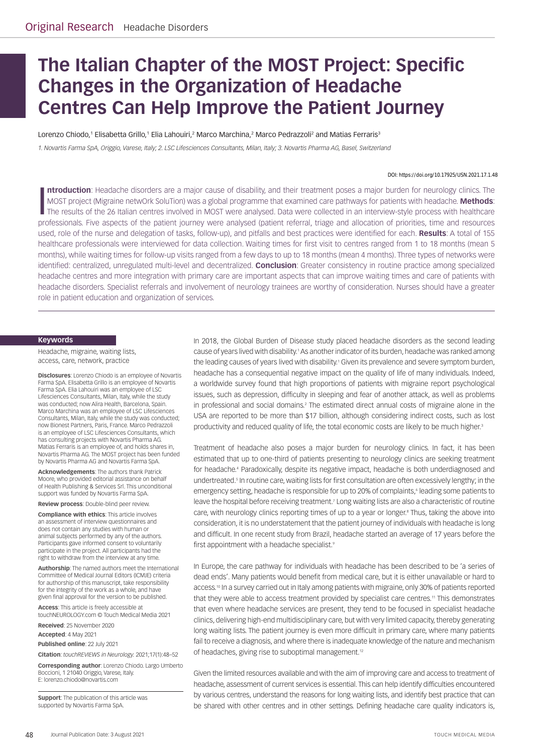# **The Italian Chapter of the MOST Project: Specific Changes in the Organization of Headache Centres Can Help Improve the Patient Journey**

Lorenzo Chiodo,1 Elisabetta Grillo,1 Elia Lahouiri,<sup>2</sup> Marco Marchina,<sup>2</sup> Marco Pedrazzoli<sup>2</sup> and Matias Ferraris<sup>3</sup>

*1. Novartis Farma SpA, Origgio, Varese, Italy; 2. LSC Lifesciences Consultants, Milan, Italy; 3. Novartis Pharma AG, Basel, Switzerland*

*DOI: https://doi.org/10.17925/USN.2021.17.1.48*

Introduction: Headache disorders are a major cause of disability, and their treatment poses a major burden for neurology clinics. The MOST project (Migraine netwOrk SoluTion) was a global programme that examined care pathw **ntroduction**: Headache disorders are a major cause of disability, and their treatment poses a major burden for neurology clinics. The MOST project (Migraine netwOrk SoluTion) was a global programme that examined care pathways for patients with headache. **Methods**: The results of the 26 Italian centres involved in MOST were analysed. Data were collected in an interview-style process with healthcare used, role of the nurse and delegation of tasks, follow-up), and pitfalls and best practices were identified for each. **Results**: A total of 155 healthcare professionals were interviewed for data collection. Waiting times for first visit to centres ranged from 1 to 18 months (mean 5 months), while waiting times for follow-up visits ranged from a few days to up to 18 months (mean 4 months). Three types of networks were identified: centralized, unregulated multi-level and decentralized. **Conclusion**: Greater consistency in routine practice among specialized headache centres and more integration with primary care are important aspects that can improve waiting times and care of patients with headache disorders. Specialist referrals and involvement of neurology trainees are worthy of consideration. Nurses should have a greater role in patient education and organization of services.

#### **Keywords**

Headache, migraine, waiting lists, access, care, network, practice

**Disclosures**: Lorenzo Chiodo is an employee of Novartis Farma SpA. Elisabetta Grillo is an employee of Novartis Farma SpA. Elia Lahouiri was an employee of LSC Lifesciences Consultants, Milan, Italy, while the study was conducted; now Alira Health, Barcelona, Spain. Marco Marchina was an employee of LSC Lifesciences Consultants, Milan, Italy, while the study was conducted; now Bionest Partners, Paris, France. Marco Pedrazzoli is an employee of LSC Lifesciences Consultants, which has consulting projects with Novartis Pharma AG. Matias Ferraris is an employee of, and holds shares in, Novartis Pharma AG. The MOST project has been funded by Novartis Pharma AG and Novartis Farma SpA.

**Acknowledgements**: The authors thank Patrick Moore, who provided editorial assistance on behalf of Health Publishing & Services Srl. This unconditional support was funded by Novartis Farma SpA.

**Review process**: Double-blind peer review.

**Compliance with ethics**: This article involves an assessment of interview questionnaires and does not contain any studies with human or animal subjects performed by any of the authors. Participants gave informed consent to voluntarily participate in the project. All participants had the right to withdraw from the interview at any time.

**Authorship**: The named authors meet the International Committee of Medical Journal Editors (ICMJE) criteria for authorship of this manuscript, take responsibility for the integrity of the work as a whole, and have given final approval for the version to be published.

**Access**: This article is freely accessible at touchNEUROLOGY.com © Touch Medical Media 2021

**Received**: 25 November 2020

**Accepted**: 4 May 2021

**Published online**: 22 July 2021

**Citation**: *touchREVIEWS in Neurology.* 2021;17(1):48–52

**Corresponding author**: Lorenzo Chiodo. Largo Umberto Boccioni, 1 21040 Origgio, Varese, Italy. E: [lorenzo.chiodo@novartis.com](mailto:lorenzo.chiodo@novartis.com)

**Support**: The publication of this article was supported by Novartis Farma SpA.

In 2018, the Global Burden of Disease study placed headache disorders as the second leading cause of years lived with disability.<sup>1</sup> As another indicator of its burden, headache was ranked among the leading causes of years lived with disability.1 Given its prevalence and severe symptom burden, headache has a consequential negative impact on the quality of life of many individuals. Indeed, a worldwide survey found that high proportions of patients with migraine report psychological issues, such as depression, difficulty in sleeping and fear of another attack, as well as problems in professional and social domains.<sup>2</sup> The estimated direct annual costs of migraine alone in the USA are reported to be more than \$17 billion, although considering indirect costs, such as lost productivity and reduced quality of life, the total economic costs are likely to be much higher.<sup>3</sup>

Treatment of headache also poses a major burden for neurology clinics. In fact, it has been estimated that up to one-third of patients presenting to neurology clinics are seeking treatment for headache.<sup>4</sup> Paradoxically, despite its negative impact, headache is both underdiagnosed and undertreated.<sup>5</sup> In routine care, waiting lists for first consultation are often excessively lengthy; in the emergency setting, headache is responsible for up to 20% of complaints, eleading some patients to leave the hospital before receiving treatment.<sup>7</sup> Long waiting lists are also a characteristic of routine care, with neurology clinics reporting times of up to a year or longer.<sup>8</sup> Thus, taking the above into consideration, it is no understatement that the patient journey of individuals with headache is long and difficult. In one recent study from Brazil, headache started an average of 17 years before the first appointment with a headache specialist.<sup>9</sup>

In Europe, the care pathway for individuals with headache has been described to be 'a series of dead ends'. Many patients would benefit from medical care, but it is either unavailable or hard to access.10 In a survey carried out in Italy among patients with migraine, only 30% of patients reported that they were able to access treatment provided by specialist care centres.<sup>11</sup> This demonstrates that even where headache services are present, they tend to be focused in specialist headache clinics, delivering high-end multidisciplinary care, but with very limited capacity, thereby generating long waiting lists. The patient journey is even more difficult in primary care, where many patients fail to receive a diagnosis, and where there is inadequate knowledge of the nature and mechanism of headaches, giving rise to suboptimal management.12

Given the limited resources available and with the aim of improving care and access to treatment of headache, assessment of current services is essential. This can help identify difficulties encountered by various centres, understand the reasons for long waiting lists, and identify best practice that can be shared with other centres and in other settings. Defining headache care quality indicators is,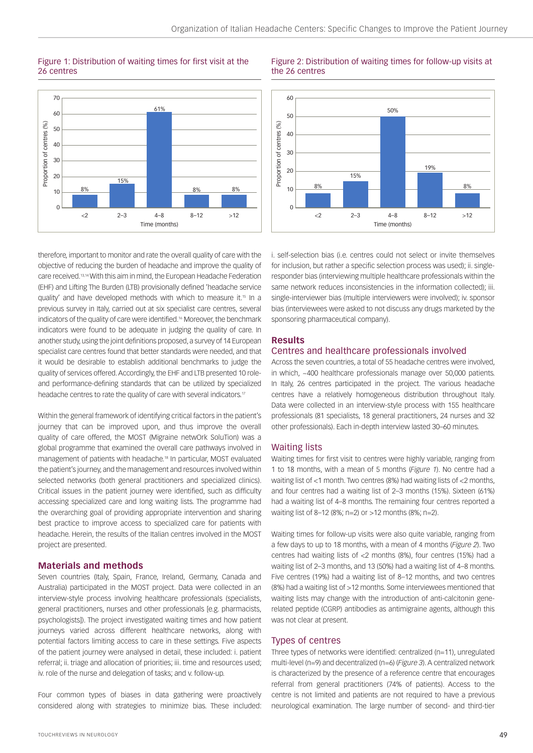## Figure 1: Distribution of waiting times for first visit at the 26 centres



therefore, important to monitor and rate the overall quality of care with the objective of reducing the burden of headache and improve the quality of care received.13,14 With this aim in mind, the European Headache Federation (EHF) and Lifting The Burden (LTB) provisionally defined 'headache service quality' and have developed methods with which to measure it.<sup>15</sup> In a previous survey in Italy, carried out at six specialist care centres, several indicators of the quality of care were identified.<sup>16</sup> Moreover, the benchmark indicators were found to be adequate in judging the quality of care. In another study, using the joint definitions proposed, a survey of 14 European specialist care centres found that better standards were needed, and that it would be desirable to establish additional benchmarks to judge the quality of services offered. Accordingly, the EHF and LTB presented 10 roleand performance-defining standards that can be utilized by specialized headache centres to rate the quality of care with several indicators.<sup>17</sup>

Within the general framework of identifying critical factors in the patient's journey that can be improved upon, and thus improve the overall quality of care offered, the MOST (Migraine netwOrk SoluTion) was a global programme that examined the overall care pathways involved in management of patients with headache.18 In particular, MOST evaluated the patient's journey, and the management and resources involved within selected networks (both general practitioners and specialized clinics). Critical issues in the patient journey were identified, such as difficulty accessing specialized care and long waiting lists. The programme had the overarching goal of providing appropriate intervention and sharing best practice to improve access to specialized care for patients with headache. Herein, the results of the Italian centres involved in the MOST project are presented.

### **Materials and methods**

Seven countries (Italy, Spain, France, Ireland, Germany, Canada and Australia) participated in the MOST project. Data were collected in an interview-style process involving healthcare professionals (specialists, general practitioners, nurses and other professionals [e.g. pharmacists, psychologists]). The project investigated waiting times and how patient journeys varied across different healthcare networks, along with potential factors limiting access to care in these settings. Five aspects of the patient journey were analysed in detail, these included: i. patient referral; ii. triage and allocation of priorities; iii. time and resources used; iv. role of the nurse and delegation of tasks; and v. follow-up.

Four common types of biases in data gathering were proactively considered along with strategies to minimize bias. These included:

#### Figure 2: Distribution of waiting times for follow-up visits at the 26 centres



i. self-selection bias (i.e. centres could not select or invite themselves for inclusion, but rather a specific selection process was used); ii. singleresponder bias (interviewing multiple healthcare professionals within the same network reduces inconsistencies in the information collected); iii. single-interviewer bias (multiple interviewers were involved); iv. sponsor bias (interviewees were asked to not discuss any drugs marketed by the sponsoring pharmaceutical company).

#### **Results**

## Centres and healthcare professionals involved

Across the seven countries, a total of 55 headache centres were involved, in which, ~400 healthcare professionals manage over 50,000 patients. In Italy, 26 centres participated in the project. The various headache centres have a relatively homogeneous distribution throughout Italy. Data were collected in an interview-style process with 155 healthcare professionals (81 specialists, 18 general practitioners, 24 nurses and 32 other professionals). Each in-depth interview lasted 30–60 minutes.

### Waiting lists

Waiting times for first visit to centres were highly variable, ranging from 1 to 18 months, with a mean of 5 months (*Figure 1*). No centre had a waiting list of <1 month. Two centres (8%) had waiting lists of <2 months, and four centres had a waiting list of 2–3 months (15%). Sixteen (61%) had a waiting list of 4–8 months. The remaining four centres reported a waiting list of 8–12 (8%; n=2) or >12 months (8%; n=2).

Waiting times for follow-up visits were also quite variable, ranging from a few days to up to 18 months, with a mean of 4 months (*Figure 2*). Two centres had waiting lists of <2 months (8%), four centres (15%) had a waiting list of 2–3 months, and 13 (50%) had a waiting list of 4–8 months. Five centres (19%) had a waiting list of 8–12 months, and two centres (8%) had a waiting list of >12 months. Some interviewees mentioned that waiting lists may change with the introduction of anti-calcitonin generelated peptide (CGRP) antibodies as antimigraine agents, although this was not clear at present.

# Types of centres

Three types of networks were identified: centralized (n=11), unregulated multi-level (n=9) and decentralized (n=6) (*Figure 3*). A centralized network is characterized by the presence of a reference centre that encourages referral from general practitioners (74% of patients). Access to the centre is not limited and patients are not required to have a previous neurological examination. The large number of second- and third-tier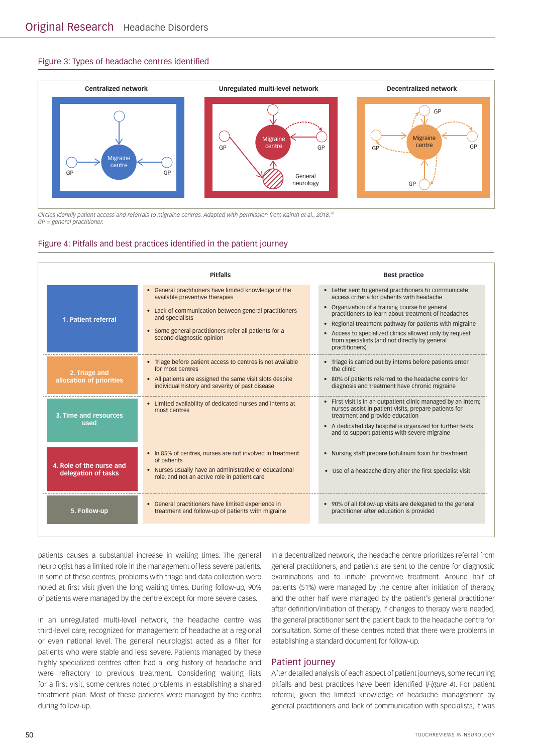#### Figure 3: Types of headache centres identified



*Circles identify patient access and referrals to migraine centres. Adapted with permission from Kainth et al., 2018.*<sup>18</sup> *GP = general practitioner.*

#### Figure 4: Pitfalls and best practices identified in the patient journey

|                                                 | <b>Pitfalls</b>                                                                                                                                                                                                                                           | <b>Best practice</b>                                                                                                                                                                                                                                                                                                                                                                                                         |
|-------------------------------------------------|-----------------------------------------------------------------------------------------------------------------------------------------------------------------------------------------------------------------------------------------------------------|------------------------------------------------------------------------------------------------------------------------------------------------------------------------------------------------------------------------------------------------------------------------------------------------------------------------------------------------------------------------------------------------------------------------------|
| 1. Patient referral                             | • General practitioners have limited knowledge of the<br>available preventive therapies<br>• Lack of communication between general practitioners<br>and specialists<br>• Some general practitioners refer all patients for a<br>second diagnostic opinion | • Letter sent to general practitioners to communicate<br>access criteria for patients with headache<br>• Organization of a training course for general<br>practitioners to learn about treatment of headaches<br>Regional treatment pathway for patients with migraine<br>$\bullet$<br>Access to specialized clinics allowed only by request<br>$\bullet$<br>from specialists (and not directly by general<br>practitioners) |
| 2. Triage and<br>allocation of priorities       | • Triage before patient access to centres is not available<br>for most centres<br>• All patients are assigned the same visit slots despite<br>individual history and severity of past disease                                                             | • Triage is carried out by interns before patients enter<br>the clinic<br>• 80% of patients referred to the headache centre for<br>diagnosis and treatment have chronic migraine                                                                                                                                                                                                                                             |
| 3. Time and resources<br>used                   | • Limited availability of dedicated nurses and interns at<br>most centres                                                                                                                                                                                 | • First visit is in an outpatient clinic managed by an intern;<br>nurses assist in patient visits, prepare patients for<br>treatment and provide education<br>• A dedicated day hospital is organized for further tests<br>and to support patients with severe migraine                                                                                                                                                      |
| 4. Role of the nurse and<br>delegation of tasks | • In 85% of centres, nurses are not involved in treatment<br>of patients<br>• Nurses usually have an administrative or educational<br>role, and not an active role in patient care                                                                        | • Nursing staff prepare botulinum toxin for treatment<br>• Use of a headache diary after the first specialist visit                                                                                                                                                                                                                                                                                                          |
| 5. Follow-up                                    | • General practitioners have limited experience in<br>treatment and follow-up of patients with migraine                                                                                                                                                   | • 90% of all follow-up visits are delegated to the general<br>practitioner after education is provided                                                                                                                                                                                                                                                                                                                       |

patients causes a substantial increase in waiting times. The general neurologist has a limited role in the management of less severe patients. In some of these centres, problems with triage and data collection were noted at first visit given the long waiting times. During follow-up, 90% of patients were managed by the centre except for more severe cases.

In an unregulated multi-level network, the headache centre was third-level care, recognized for management of headache at a regional or even national level. The general neurologist acted as a filter for patients who were stable and less severe. Patients managed by these highly specialized centres often had a long history of headache and were refractory to previous treatment. Considering waiting lists for a first visit, some centres noted problems in establishing a shared treatment plan. Most of these patients were managed by the centre during follow-up.

In a decentralized network, the headache centre prioritizes referral from general practitioners, and patients are sent to the centre for diagnostic examinations and to initiate preventive treatment. Around half of patients (51%) were managed by the centre after initiation of therapy, and the other half were managed by the patient's general practitioner after definition/initiation of therapy. If changes to therapy were needed, the general practitioner sent the patient back to the headache centre for consultation. Some of these centres noted that there were problems in establishing a standard document for follow-up.

#### Patient journey

After detailed analysis of each aspect of patient journeys, some recurring pitfalls and best practices have been identified (*Figure 4*). For patient referral, given the limited knowledge of headache management by general practitioners and lack of communication with specialists, it was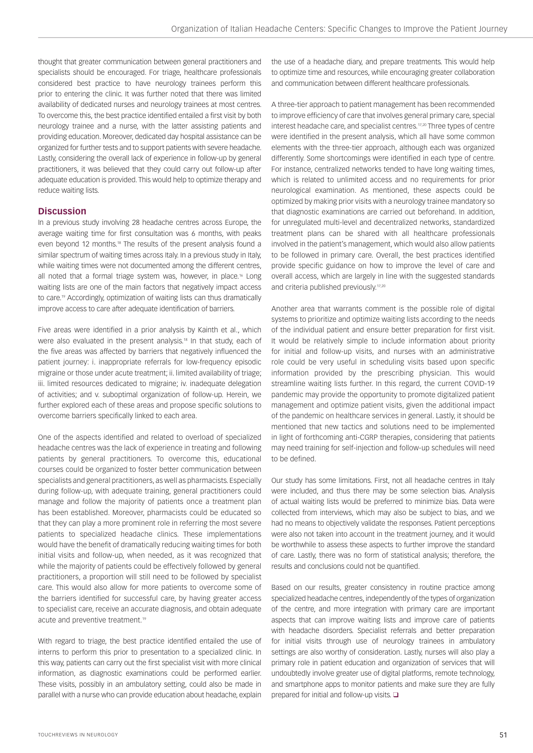thought that greater communication between general practitioners and specialists should be encouraged. For triage, healthcare professionals considered best practice to have neurology trainees perform this prior to entering the clinic. It was further noted that there was limited availability of dedicated nurses and neurology trainees at most centres. To overcome this, the best practice identified entailed a first visit by both neurology trainee and a nurse, with the latter assisting patients and providing education. Moreover, dedicated day hospital assistance can be organized for further tests and to support patients with severe headache. Lastly, considering the overall lack of experience in follow-up by general practitioners, it was believed that they could carry out follow-up after adequate education is provided. This would help to optimize therapy and reduce waiting lists.

# **Discussion**

In a previous study involving 28 headache centres across Europe, the average waiting time for first consultation was 6 months, with peaks even beyond 12 months.<sup>18</sup> The results of the present analysis found a similar spectrum of waiting times across Italy. In a previous study in Italy, while waiting times were not documented among the different centres, all noted that a formal triage system was, however, in place.<sup>16</sup> Long waiting lists are one of the main factors that negatively impact access to care.<sup>19</sup> Accordingly, optimization of waiting lists can thus dramatically improve access to care after adequate identification of barriers.

Five areas were identified in a prior analysis by Kainth et al., which were also evaluated in the present analysis.18 In that study, each of the five areas was affected by barriers that negatively influenced the patient journey: i. inappropriate referrals for low-frequency episodic migraine or those under acute treatment; ii. limited availability of triage; iii. limited resources dedicated to migraine; iv. inadequate delegation of activities; and v. suboptimal organization of follow-up. Herein, we further explored each of these areas and propose specific solutions to overcome barriers specifically linked to each area.

One of the aspects identified and related to overload of specialized headache centres was the lack of experience in treating and following patients by general practitioners. To overcome this, educational courses could be organized to foster better communication between specialists and general practitioners, as well as pharmacists. Especially during follow-up, with adequate training, general practitioners could manage and follow the majority of patients once a treatment plan has been established. Moreover, pharmacists could be educated so that they can play a more prominent role in referring the most severe patients to specialized headache clinics. These implementations would have the benefit of dramatically reducing waiting times for both initial visits and follow-up, when needed, as it was recognized that while the majority of patients could be effectively followed by general practitioners, a proportion will still need to be followed by specialist care. This would also allow for more patients to overcome some of the barriers identified for successful care, by having greater access to specialist care, receive an accurate diagnosis, and obtain adequate acute and preventive treatment.19

With regard to triage, the best practice identified entailed the use of interns to perform this prior to presentation to a specialized clinic. In this way, patients can carry out the first specialist visit with more clinical information, as diagnostic examinations could be performed earlier. These visits, possibly in an ambulatory setting, could also be made in parallel with a nurse who can provide education about headache, explain the use of a headache diary, and prepare treatments. This would help to optimize time and resources, while encouraging greater collaboration and communication between different healthcare professionals.

A three-tier approach to patient management has been recommended to improve efficiency of care that involves general primary care, special interest headache care, and specialist centres.<sup>17,20</sup> Three types of centre were identified in the present analysis, which all have some common elements with the three-tier approach, although each was organized differently. Some shortcomings were identified in each type of centre. For instance, centralized networks tended to have long waiting times, which is related to unlimited access and no requirements for prior neurological examination. As mentioned, these aspects could be optimized by making prior visits with a neurology trainee mandatory so that diagnostic examinations are carried out beforehand. In addition, for unregulated multi-level and decentralized networks, standardized treatment plans can be shared with all healthcare professionals involved in the patient's management, which would also allow patients to be followed in primary care. Overall, the best practices identified provide specific guidance on how to improve the level of care and overall access, which are largely in line with the suggested standards and criteria published previously.<sup>17,20</sup>

Another area that warrants comment is the possible role of digital systems to prioritize and optimize waiting lists according to the needs of the individual patient and ensure better preparation for first visit. It would be relatively simple to include information about priority for initial and follow-up visits, and nurses with an administrative role could be very useful in scheduling visits based upon specific information provided by the prescribing physician. This would streamline waiting lists further. In this regard, the current COVID-19 pandemic may provide the opportunity to promote digitalized patient management and optimize patient visits, given the additional impact of the pandemic on healthcare services in general. Lastly, it should be mentioned that new tactics and solutions need to be implemented in light of forthcoming anti-CGRP therapies, considering that patients may need training for self-injection and follow-up schedules will need to be defined.

Our study has some limitations. First, not all headache centres in Italy were included, and thus there may be some selection bias. Analysis of actual waiting lists would be preferred to minimize bias. Data were collected from interviews, which may also be subject to bias, and we had no means to objectively validate the responses. Patient perceptions were also not taken into account in the treatment journey, and it would be worthwhile to assess these aspects to further improve the standard of care. Lastly, there was no form of statistical analysis; therefore, the results and conclusions could not be quantified.

Based on our results, greater consistency in routine practice among specialized headache centres, independently of the types of organization of the centre, and more integration with primary care are important aspects that can improve waiting lists and improve care of patients with headache disorders. Specialist referrals and better preparation for initial visits through use of neurology trainees in ambulatory settings are also worthy of consideration. Lastly, nurses will also play a primary role in patient education and organization of services that will undoubtedly involve greater use of digital platforms, remote technology, and smartphone apps to monitor patients and make sure they are fully prepared for initial and follow-up visits.  $\Box$